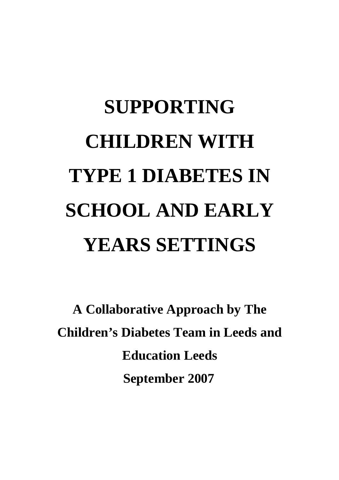# **SUPPORTING CHILDREN WITH TYPE 1 DIABETES IN SCHOOL AND EARLY YEARS SETTINGS**

**A Collaborative Approach by The Children's Diabetes Team in Leeds and Education Leeds September 2007**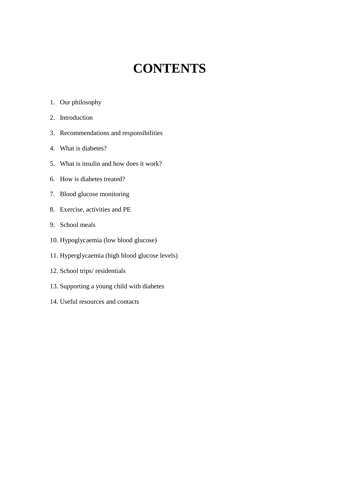### **CONTENTS**

- 1. Our philosophy
- 2. Introduction
- 3. Recommendations and responsibilities
- 4. What is diabetes?
- 5. What is insulin and how does it work?
- 6. How is diabetes treated?
- 7. Blood glucose monitoring
- 8. Exercise, activities and PE
- 9. School meals
- 10. Hypoglycaemia (low blood glucose)
- 11. Hyperglycaemia (high blood glucose levels)
- 12. School trips/ residentials
- 13. Supporting a young child with diabetes
- 14. Useful resources and contacts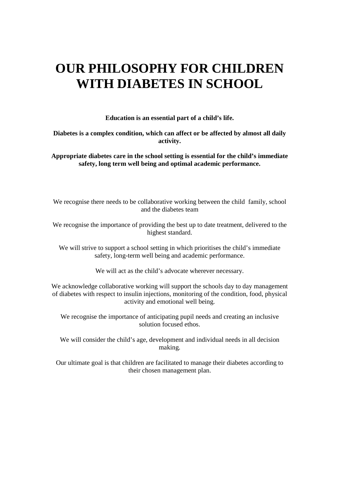### **OUR PHILOSOPHY FOR CHILDREN WITH DIABETES IN SCHOOL**

**Education is an essential part of a child's life.** 

#### **Diabetes is a complex condition, which can affect or be affected by almost all daily activity.**

**Appropriate diabetes care in the school setting is essential for the child's immediate safety, long term well being and optimal academic performance.** 

We recognise there needs to be collaborative working between the child family, school and the diabetes team

We recognise the importance of providing the best up to date treatment, delivered to the highest standard.

We will strive to support a school setting in which prioritises the child's immediate safety, long-term well being and academic performance.

We will act as the child's advocate wherever necessary.

We acknowledge collaborative working will support the schools day to day management of diabetes with respect to insulin injections, monitoring of the condition, food, physical activity and emotional well being.

We recognise the importance of anticipating pupil needs and creating an inclusive solution focused ethos.

We will consider the child's age, development and individual needs in all decision making.

Our ultimate goal is that children are facilitated to manage their diabetes according to their chosen management plan.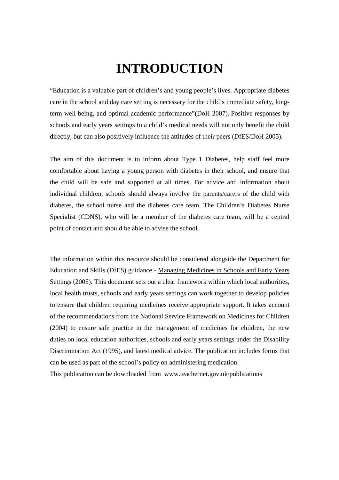### **INTRODUCTION**

"Education is a valuable part of children's and young people's lives. Appropriate diabetes care in the school and day care setting is necessary for the child's immediate safety, longterm well being, and optimal academic performance"(DoH 2007). Positive responses by schools and early years settings to a child's medical needs will not only benefit the child directly, but can also positively influence the attitudes of their peers (DfES/DoH 2005).

The aim of this document is to inform about Type 1 Diabetes, help staff feel more comfortable about having a young person with diabetes in their school, and ensure that the child will be safe and supported at all times. For advice and information about individual children, schools should always involve the parents/carers of the child with diabetes, the school nurse and the diabetes care team. The Children's Diabetes Nurse Specialist (CDNS), who will be a member of the diabetes care team, will be a central point of contact and should be able to advise the school.

The information within this resource should be considered alongside the Department for Education and Skills (DfES) guidance - Managing Medicines in Schools and Early Years Settings (2005). This document sets out a clear framework within which local authorities, local health trusts, schools and early years settings can work together to develop policies to ensure that children requiring medicines receive appropriate support. It takes account of the recommendations from the National Service Framework on Medicines for Children (2004) to ensure safe practice in the management of medicines for children, the new duties on local education authorities, schools and early years settings under the Disability Discrimination Act (1995), and latest medical advice. The publication includes forms that can be used as part of the school's policy on administering medication.

This publication can be downloaded from www.teachernet.gov.uk/publications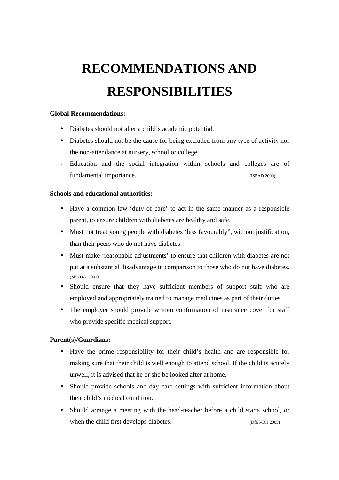# **RECOMMENDATIONS AND RESPONSIBILITIES**

#### **Global Recommendations:**

- Diabetes should not alter a child's academic potential.
- Diabetes should not be the cause for being excluded from any type of activity nor the non-attendance at nursery, school or college.
- Education and the social integration within schools and colleges are of fundamental importance. (ISPAD 2000)

#### **Schools and educational authorities:**

- Have a common law 'duty of care' to act in the same manner as a responsible parent, to ensure children with diabetes are healthy and safe.
- Must not treat young people with diabetes 'less favourably", without justification, than their peers who do not have diabetes.
- Must make 'reasonable adjustments' to ensure that children with diabetes are not put at a substantial disadvantage in comparison to those who do not have diabetes. (SENDA 2001)
- Should ensure that they have sufficient members of support staff who are employed and appropriately trained to manage medicines as part of their duties.
- The employer should provide written confirmation of insurance cover for staff who provide specific medical support.

#### **Parent(s)/Guardians:**

- Have the prime responsibility for their child's health and are responsible for making sure that their child is well enough to attend school. If the child is acutely unwell, it is advised that he or she be looked after at home.
- Should provide schools and day care settings with sufficient information about their child's medical condition.
- Should arrange a meeting with the head-teacher before a child starts school, or when the child first develops diabetes. (DfES/DH 2005)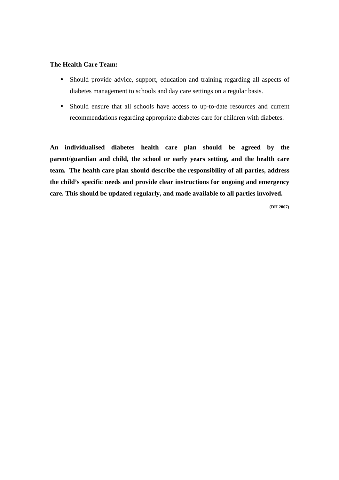#### **The Health Care Team:**

- Should provide advice, support, education and training regarding all aspects of diabetes management to schools and day care settings on a regular basis.
- Should ensure that all schools have access to up-to-date resources and current recommendations regarding appropriate diabetes care for children with diabetes.

**An individualised diabetes health care plan should be agreed by the parent/guardian and child, the school or early years setting, and the health care team. The health care plan should describe the responsibility of all parties, address the child's specific needs and provide clear instructions for ongoing and emergency care. This should be updated regularly, and made available to all parties involved.** 

 **(DH 2007)**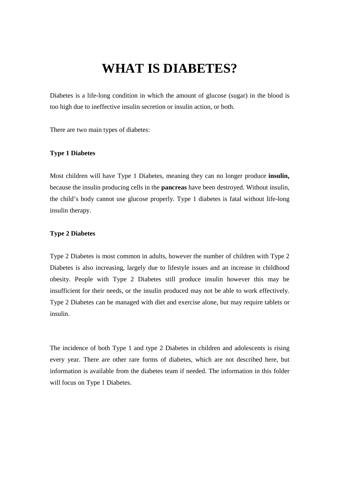### **WHAT IS DIABETES?**

Diabetes is a life-long condition in which the amount of glucose (sugar) in the blood is too high due to ineffective insulin secretion or insulin action, or both.

There are two main types of diabetes:

#### **Type 1 Diabetes**

Most children will have Type 1 Diabetes, meaning they can no longer produce **insulin,** because the insulin producing cells in the **pancreas** have been destroyed. Without insulin, the child's body cannot use glucose properly. Type 1 diabetes is fatal without life-long insulin therapy.

#### **Type 2 Diabetes**

Type 2 Diabetes is most common in adults, however the number of children with Type 2 Diabetes is also increasing, largely due to lifestyle issues and an increase in childhood obesity. People with Type 2 Diabetes still produce insulin however this may be insufficient for their needs, or the insulin produced may not be able to work effectively. Type 2 Diabetes can be managed with diet and exercise alone, but may require tablets or insulin.

The incidence of both Type 1 and type 2 Diabetes in children and adolescents is rising every year. There are other rare forms of diabetes, which are not described here, but information is available from the diabetes team if needed. The information in this folder will focus on Type 1 Diabetes.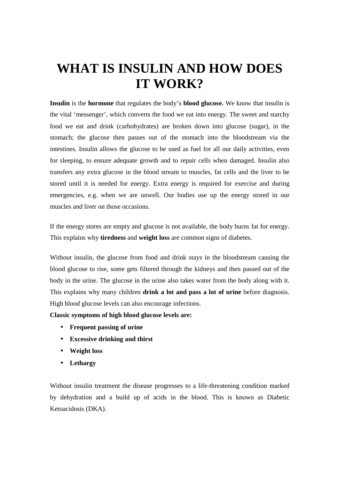### **WHAT IS INSULIN AND HOW DOES IT WORK?**

**Insulin** is the **hormone** that regulates the body's **blood glucose.** We know that insulin is the vital 'messenger', which converts the food we eat into energy. The sweet and starchy food we eat and drink (carbohydrates) are broken down into glucose (sugar), in the stomach; the glucose then passes out of the stomach into the bloodstream via the intestines. Insulin allows the glucose to be used as fuel for all our daily activities, even for sleeping, to ensure adequate growth and to repair cells when damaged. Insulin also transfers any extra glucose in the blood stream to muscles, fat cells and the liver to be stored until it is needed for energy. Extra energy is required for exercise and during emergencies, e.g. when we are unwell. Our bodies use up the energy stored in our muscles and liver on those occasions.

If the energy stores are empty and glucose is not available, the body burns fat for energy. This explains why **tiredness** and **weight loss** are common signs of diabetes.

Without insulin, the glucose from food and drink stays in the bloodstream causing the blood glucose to rise, some gets filtered through the kidneys and then passed out of the body in the urine. The glucose in the urine also takes water from the body along with it. This explains why many children **drink a lot and pass a lot of urine** before diagnosis. High blood glucose levels can also encourage infections.

**Classic symptoms of high blood glucose levels are:** 

- **Frequent passing of urine**
- **Excessive drinking and thirst**
- **Weight loss**
- **Lethargy**

Without insulin treatment the disease progresses to a life-threatening condition marked by dehydration and a build up of acids in the blood. This is known as Diabetic Ketoacidosis (DKA).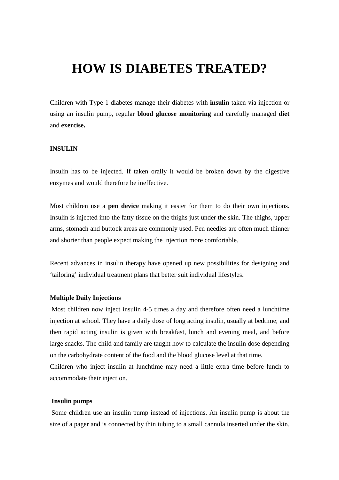### **HOW IS DIABETES TREATED?**

Children with Type 1 diabetes manage their diabetes with **insulin** taken via injection or using an insulin pump, regular **blood glucose monitoring** and carefully managed **diet** and **exercise.** 

#### **INSULIN**

Insulin has to be injected. If taken orally it would be broken down by the digestive enzymes and would therefore be ineffective.

Most children use a **pen device** making it easier for them to do their own injections. Insulin is injected into the fatty tissue on the thighs just under the skin. The thighs, upper arms, stomach and buttock areas are commonly used. Pen needles are often much thinner and shorter than people expect making the injection more comfortable.

Recent advances in insulin therapy have opened up new possibilities for designing and 'tailoring' individual treatment plans that better suit individual lifestyles.

#### **Multiple Daily Injections**

 Most children now inject insulin 4-5 times a day and therefore often need a lunchtime injection at school. They have a daily dose of long acting insulin, usually at bedtime; and then rapid acting insulin is given with breakfast, lunch and evening meal, and before large snacks. The child and family are taught how to calculate the insulin dose depending on the carbohydrate content of the food and the blood glucose level at that time. Children who inject insulin at lunchtime may need a little extra time before lunch to accommodate their injection.

#### **Insulin pumps**

Some children use an insulin pump instead of injections. An insulin pump is about the size of a pager and is connected by thin tubing to a small cannula inserted under the skin.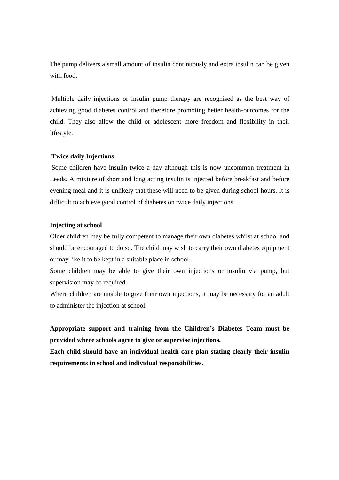The pump delivers a small amount of insulin continuously and extra insulin can be given with food.

 Multiple daily injections or insulin pump therapy are recognised as the best way of achieving good diabetes control and therefore promoting better health-outcomes for the child. They also allow the child or adolescent more freedom and flexibility in their lifestyle.

#### **Twice daily Injections**

Some children have insulin twice a day although this is now uncommon treatment in Leeds. A mixture of short and long acting insulin is injected before breakfast and before evening meal and it is unlikely that these will need to be given during school hours. It is difficult to achieve good control of diabetes on twice daily injections.

#### **Injecting at school**

Older children may be fully competent to manage their own diabetes whilst at school and should be encouraged to do so. The child may wish to carry their own diabetes equipment or may like it to be kept in a suitable place in school.

Some children may be able to give their own injections or insulin via pump, but supervision may be required.

Where children are unable to give their own injections, it may be necessary for an adult to administer the injection at school.

**Appropriate support and training from the Children's Diabetes Team must be provided where schools agree to give or supervise injections.** 

**Each child should have an individual health care plan stating clearly their insulin requirements in school and individual responsibilities.**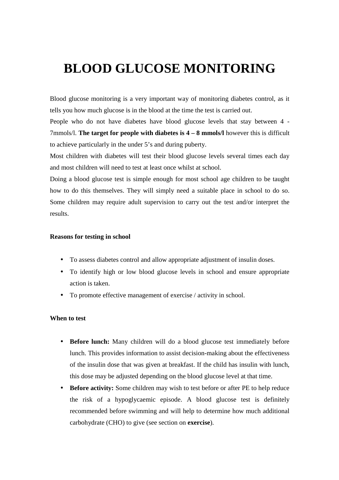### **BLOOD GLUCOSE MONITORING**

Blood glucose monitoring is a very important way of monitoring diabetes control, as it tells you how much glucose is in the blood at the time the test is carried out.

People who do not have diabetes have blood glucose levels that stay between 4 - 7mmols/l. **The target for people with diabetes is 4 – 8 mmols/l** however this is difficult to achieve particularly in the under 5's and during puberty.

Most children with diabetes will test their blood glucose levels several times each day and most children will need to test at least once whilst at school.

Doing a blood glucose test is simple enough for most school age children to be taught how to do this themselves. They will simply need a suitable place in school to do so. Some children may require adult supervision to carry out the test and/or interpret the results.

#### **Reasons for testing in school**

- To assess diabetes control and allow appropriate adjustment of insulin doses.
- To identify high or low blood glucose levels in school and ensure appropriate action is taken.
- To promote effective management of exercise / activity in school.

#### **When to test**

- **Before lunch:** Many children will do a blood glucose test immediately before lunch. This provides information to assist decision-making about the effectiveness of the insulin dose that was given at breakfast. If the child has insulin with lunch, this dose may be adjusted depending on the blood glucose level at that time.
- **Before activity:** Some children may wish to test before or after PE to help reduce the risk of a hypoglycaemic episode. A blood glucose test is definitely recommended before swimming and will help to determine how much additional carbohydrate (CHO) to give (see section on **exercise**).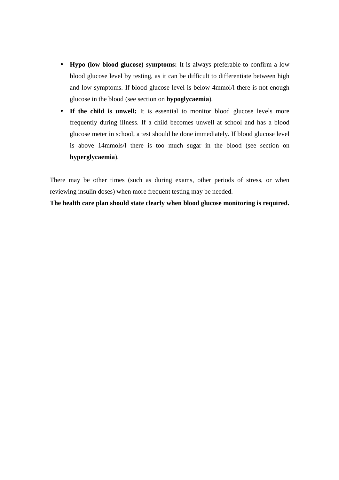- **Hypo (low blood glucose) symptoms:** It is always preferable to confirm a low blood glucose level by testing, as it can be difficult to differentiate between high and low symptoms. If blood glucose level is below 4mmol/l there is not enough glucose in the blood (see section on **hypoglycaemia**).
- If the child is unwell: It is essential to monitor blood glucose levels more frequently during illness. If a child becomes unwell at school and has a blood glucose meter in school, a test should be done immediately. If blood glucose level is above 14mmols/l there is too much sugar in the blood (see section on **hyperglycaemia**).

There may be other times (such as during exams, other periods of stress, or when reviewing insulin doses) when more frequent testing may be needed.

**The health care plan should state clearly when blood glucose monitoring is required.**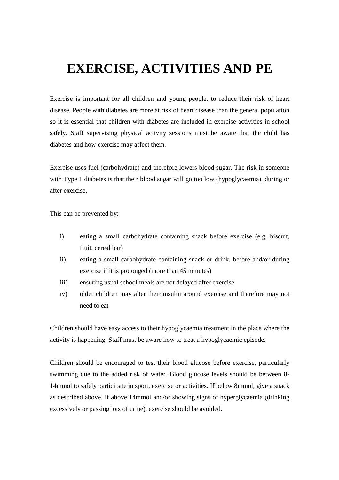### **EXERCISE, ACTIVITIES AND PE**

Exercise is important for all children and young people, to reduce their risk of heart disease. People with diabetes are more at risk of heart disease than the general population so it is essential that children with diabetes are included in exercise activities in school safely. Staff supervising physical activity sessions must be aware that the child has diabetes and how exercise may affect them.

Exercise uses fuel (carbohydrate) and therefore lowers blood sugar. The risk in someone with Type 1 diabetes is that their blood sugar will go too low (hypoglycaemia), during or after exercise.

This can be prevented by:

- i) eating a small carbohydrate containing snack before exercise (e.g. biscuit, fruit, cereal bar)
- ii) eating a small carbohydrate containing snack or drink, before and/or during exercise if it is prolonged (more than 45 minutes)
- iii) ensuring usual school meals are not delayed after exercise
- iv) older children may alter their insulin around exercise and therefore may not need to eat

Children should have easy access to their hypoglycaemia treatment in the place where the activity is happening. Staff must be aware how to treat a hypoglycaemic episode.

Children should be encouraged to test their blood glucose before exercise, particularly swimming due to the added risk of water. Blood glucose levels should be between 8- 14mmol to safely participate in sport, exercise or activities. If below 8mmol, give a snack as described above. If above 14mmol and/or showing signs of hyperglycaemia (drinking excessively or passing lots of urine), exercise should be avoided.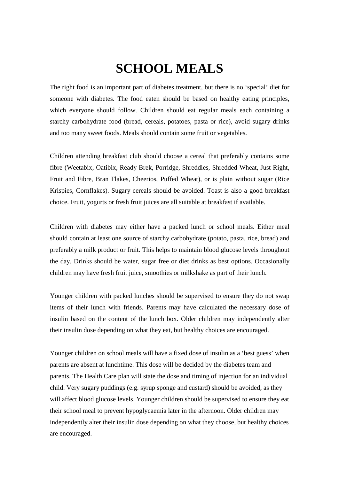### **SCHOOL MEALS**

The right food is an important part of diabetes treatment, but there is no 'special' diet for someone with diabetes. The food eaten should be based on healthy eating principles, which everyone should follow. Children should eat regular meals each containing a starchy carbohydrate food (bread, cereals, potatoes, pasta or rice), avoid sugary drinks and too many sweet foods. Meals should contain some fruit or vegetables.

Children attending breakfast club should choose a cereal that preferably contains some fibre (Weetabix, Oatibix, Ready Brek, Porridge, Shreddies, Shredded Wheat, Just Right, Fruit and Fibre, Bran Flakes, Cheerios, Puffed Wheat), or is plain without sugar (Rice Krispies, Cornflakes). Sugary cereals should be avoided. Toast is also a good breakfast choice. Fruit, yogurts or fresh fruit juices are all suitable at breakfast if available.

Children with diabetes may either have a packed lunch or school meals. Either meal should contain at least one source of starchy carbohydrate (potato, pasta, rice, bread) and preferably a milk product or fruit. This helps to maintain blood glucose levels throughout the day. Drinks should be water, sugar free or diet drinks as best options. Occasionally children may have fresh fruit juice, smoothies or milkshake as part of their lunch.

Younger children with packed lunches should be supervised to ensure they do not swap items of their lunch with friends. Parents may have calculated the necessary dose of insulin based on the content of the lunch box. Older children may independently alter their insulin dose depending on what they eat, but healthy choices are encouraged.

Younger children on school meals will have a fixed dose of insulin as a 'best guess' when parents are absent at lunchtime. This dose will be decided by the diabetes team and parents. The Health Care plan will state the dose and timing of injection for an individual child. Very sugary puddings (e.g. syrup sponge and custard) should be avoided, as they will affect blood glucose levels. Younger children should be supervised to ensure they eat their school meal to prevent hypoglycaemia later in the afternoon. Older children may independently alter their insulin dose depending on what they choose, but healthy choices are encouraged.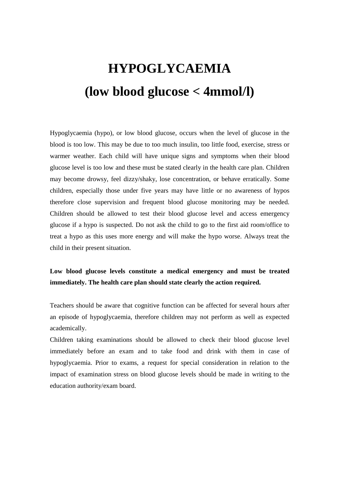## **HYPOGLYCAEMIA (low blood glucose < 4mmol/l)**

Hypoglycaemia (hypo), or low blood glucose, occurs when the level of glucose in the blood is too low. This may be due to too much insulin, too little food, exercise, stress or warmer weather. Each child will have unique signs and symptoms when their blood glucose level is too low and these must be stated clearly in the health care plan. Children may become drowsy, feel dizzy/shaky, lose concentration, or behave erratically. Some children, especially those under five years may have little or no awareness of hypos therefore close supervision and frequent blood glucose monitoring may be needed. Children should be allowed to test their blood glucose level and access emergency glucose if a hypo is suspected. Do not ask the child to go to the first aid room/office to treat a hypo as this uses more energy and will make the hypo worse. Always treat the child in their present situation.

#### **Low blood glucose levels constitute a medical emergency and must be treated immediately. The health care plan should state clearly the action required.**

Teachers should be aware that cognitive function can be affected for several hours after an episode of hypoglycaemia, therefore children may not perform as well as expected academically.

Children taking examinations should be allowed to check their blood glucose level immediately before an exam and to take food and drink with them in case of hypoglycaemia. Prior to exams, a request for special consideration in relation to the impact of examination stress on blood glucose levels should be made in writing to the education authority/exam board.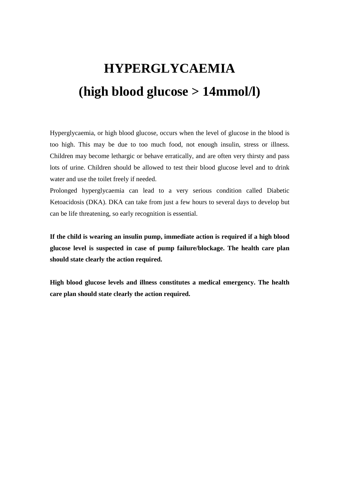# **HYPERGLYCAEMIA (high blood glucose > 14mmol/l)**

Hyperglycaemia, or high blood glucose, occurs when the level of glucose in the blood is too high. This may be due to too much food, not enough insulin, stress or illness. Children may become lethargic or behave erratically, and are often very thirsty and pass lots of urine. Children should be allowed to test their blood glucose level and to drink water and use the toilet freely if needed.

Prolonged hyperglycaemia can lead to a very serious condition called Diabetic Ketoacidosis (DKA). DKA can take from just a few hours to several days to develop but can be life threatening, so early recognition is essential.

**If the child is wearing an insulin pump, immediate action is required if a high blood glucose level is suspected in case of pump failure/blockage. The health care plan should state clearly the action required.** 

**High blood glucose levels and illness constitutes a medical emergency. The health care plan should state clearly the action required.**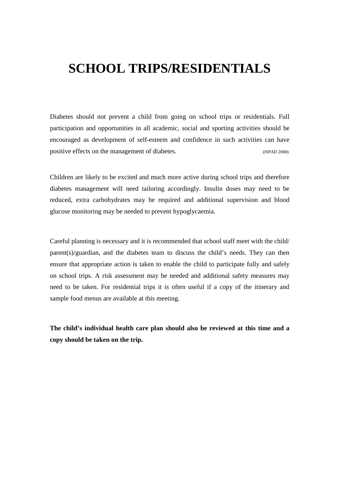### **SCHOOL TRIPS/RESIDENTIALS**

Diabetes should not prevent a child from going on school trips or residentials. Full participation and opportunities in all academic, social and sporting activities should be encouraged as development of self-esteem and confidence in such activities can have positive effects on the management of diabetes. (ISPAD 2000)

Children are likely to be excited and much more active during school trips and therefore diabetes management will need tailoring accordingly. Insulin doses may need to be reduced, extra carbohydrates may be required and additional supervision and blood glucose monitoring may be needed to prevent hypoglycaemia.

Careful planning is necessary and it is recommended that school staff meet with the child/ parent(s)/guardian, and the diabetes team to discuss the child's needs. They can then ensure that appropriate action is taken to enable the child to participate fully and safely on school trips. A risk assessment may be needed and additional safety measures may need to be taken. For residential trips it is often useful if a copy of the itinerary and sample food menus are available at this meeting.

**The child's individual health care plan should also be reviewed at this time and a copy should be taken on the trip.**